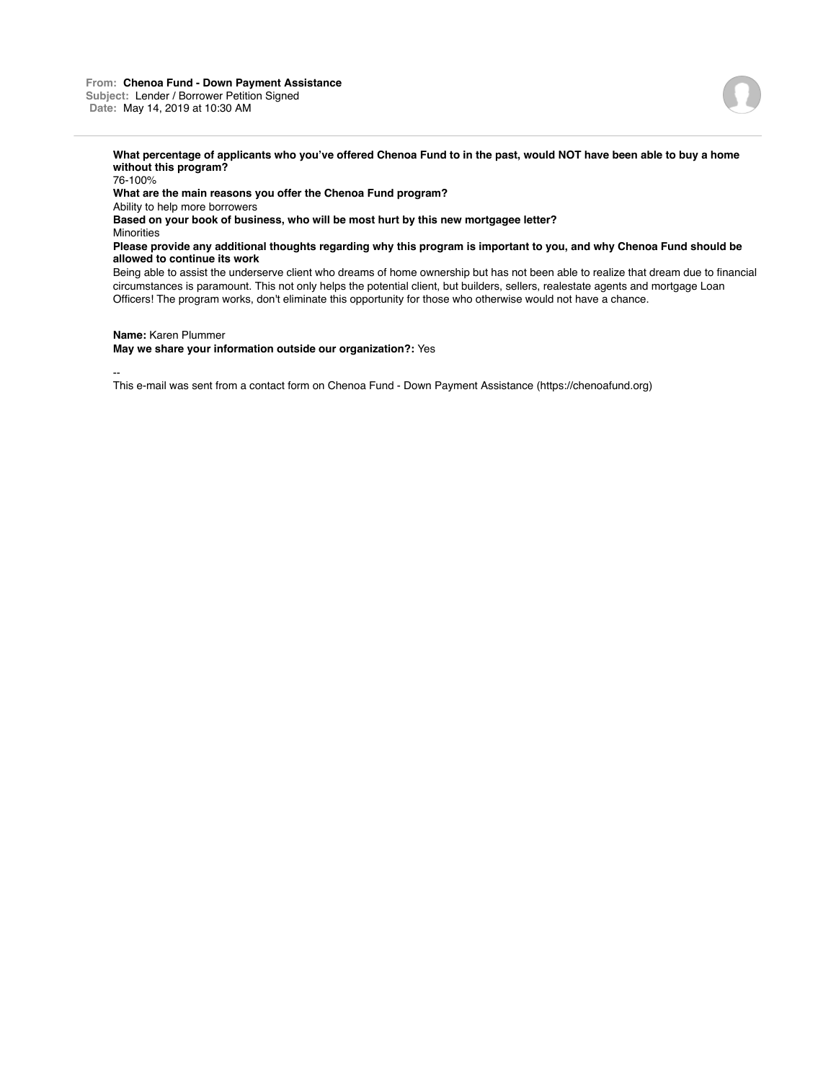## **From: Chenoa Fund - Down Payment Assistance Subject:** Lender / Borrower Petition Signed **Date:** May 14, 2019 at 10:30 AM



**What percentage of applicants who you've offered Chenoa Fund to in the past, would NOT have been able to buy a home without this program?**

76-100% **What are the main reasons you offer the Chenoa Fund program?** Ability to help more borrowers **Based on your book of business, who will be most hurt by this new mortgagee letter? Minorities Please provide any additional thoughts regarding why this program is important to you, and why Chenoa Fund should be allowed to continue its work**

Being able to assist the underserve client who dreams of home ownership but has not been able to realize that dream due to financial circumstances is paramount. This not only helps the potential client, but builders, sellers, realestate agents and mortgage Loan Officers! The program works, don't eliminate this opportunity for those who otherwise would not have a chance.

**Name:** Karen Plummer

**May we share your information outside our organization?:** Yes

--

This e-mail was sent from a contact form on Chenoa Fund - Down Payment Assistance (https://chenoafund.org)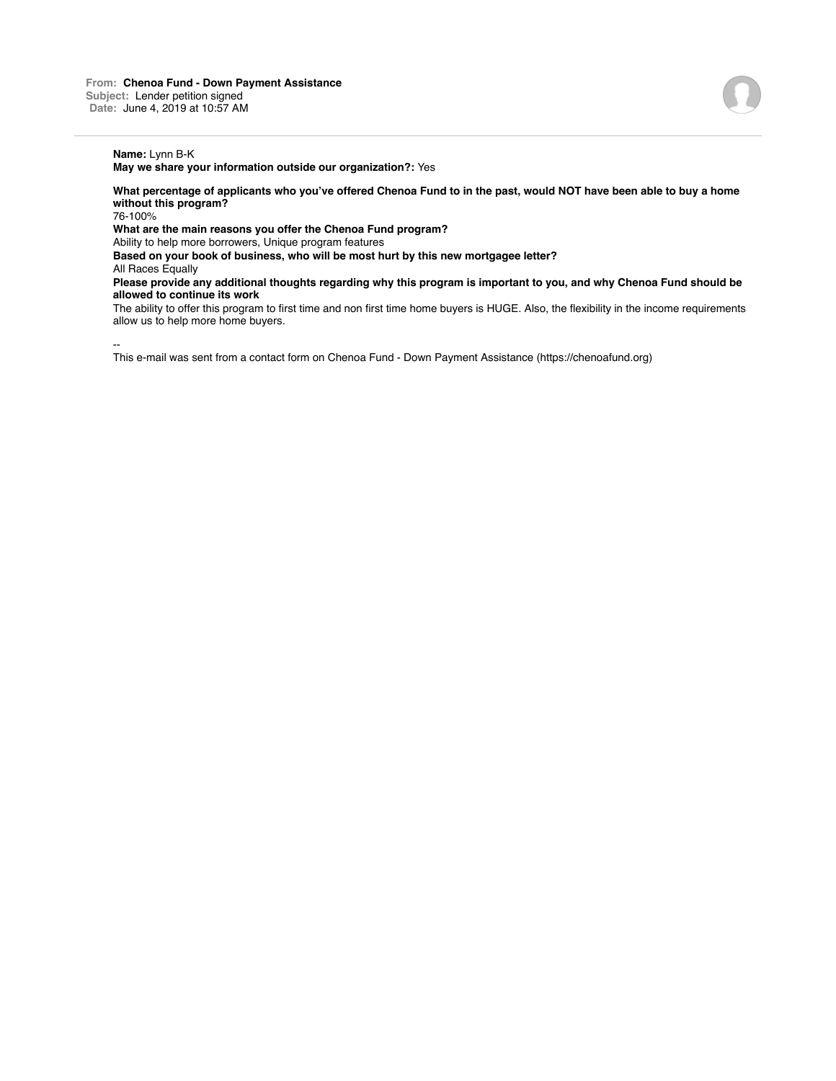**May we share your information outside our organization?:** Yes

**What percentage of applicants who you've offered Chenoa Fund to in the past, would NOT have been able to buy a home without this program?**

76-100%

**What are the main reasons you offer the Chenoa Fund program?**

Ability to help more borrowers, Unique program features

**Based on your book of business, who will be most hurt by this new mortgagee letter?**

All Races Equally

**Please provide any additional thoughts regarding why this program is important to you, and why Chenoa Fund should be allowed to continue its work**

The ability to offer this program to first time and non first time home buyers is HUGE. Also, the flexibility in the income requirements allow us to help more home buyers.

--

This e-mail was sent from a contact form on Chenoa Fund - Down Payment Assistance (https://chenoafund.org)